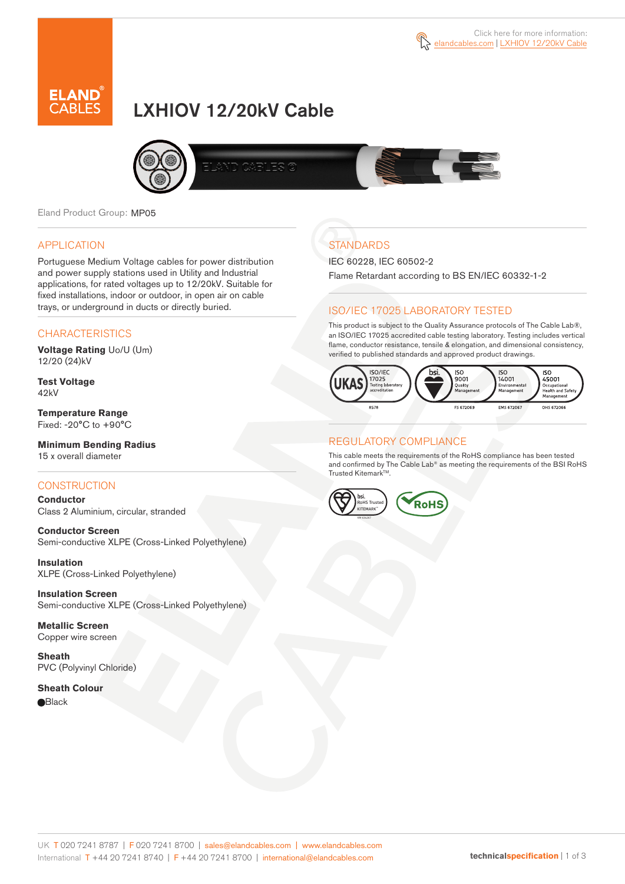

# LXHIOV 12/20kV Cable



Eland Product Group: MP05

#### APPLICATION

Portuguese Medium Voltage cables for power distribution and power supply stations used in Utility and Industrial applications, for rated voltages up to 12/20kV. Suitable for fixed installations, indoor or outdoor, in open air on cable trays, or underground in ducts or directly buried.

#### **CHARACTERISTICS**

**Voltage Rating** Uo/U (Um) 12/20 (24)kV

**Test Voltage** 42kV

**Temperature Range** Fixed: -20°C to +90°C

**Minimum Bending Radius** 15 x overall diameter

#### **CONSTRUCTION**

**Conductor**  Class 2 Aluminium, circular, stranded

**Conductor Screen** Semi-conductive XLPE (Cross-Linked Polyethylene)

**Insulation** XLPE (Cross-Linked Polyethylene)

**Insulation Screen** Semi-conductive XLPE (Cross-Linked Polyethylene)

**Metallic Screen**  Copper wire screen

**Sheath** PVC (Polyvinyl Chloride)

**Sheath Colour e**Black

# **STANDARDS**

IEC 60228, IEC 60502-2

Flame Retardant according to BS EN/IEC 60332-1-2

#### ISO/IEC 17025 LABORATORY TESTED

This product is subject to the Quality Assurance protocols of The Cable Lab®, an ISO/IEC 17025 accredited cable testing laboratory. Testing includes vertical flame, conductor resistance, tensile & elongation, and dimensional consistency, verified to published standards and approved product drawings.



#### REGULATORY COMPLIANCE

This cable meets the requirements of the RoHS compliance has been tested and confirmed by The Cable Lab® as meeting the requirements of the BSI RoHS Trusted Kitemark™.



UK T 020 7241 8787 | F 020 7241 8700 | sales@elandcables.com | www.elandcables.com International T +44 20 7241 8740 | F +44 20 7241 8700 | international@elandcables.com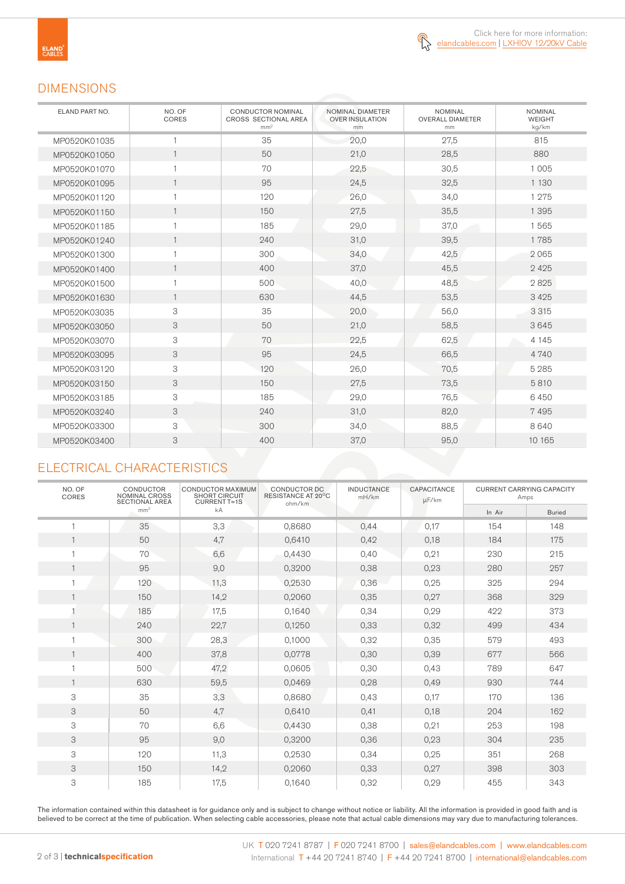

### DIMENSIONS

| ELAND PART NO. | NO. OF<br>CORES | <b>CONDUCTOR NOMINAL</b><br>CROSS SECTIONAL AREA<br>mm <sup>2</sup> | NOMINAL DIAMETER<br><b>OVER INSULATION</b><br>mm | <b>NOMINAL</b><br><b>OVERALL DIAMETER</b><br>mm | <b>NOMINAL</b><br><b>WEIGHT</b><br>kg/km |
|----------------|-----------------|---------------------------------------------------------------------|--------------------------------------------------|-------------------------------------------------|------------------------------------------|
| MP0520K01035   |                 | 35                                                                  | 20,0                                             | 27,5                                            | 815                                      |
| MP0520K01050   | $\mathbf{1}$    | 50                                                                  | 21,0                                             | 28,5                                            | 880                                      |
| MP0520K01070   | $\overline{1}$  | 70                                                                  | 22,5                                             | 30,5                                            | 1 0 0 5                                  |
| MP0520K01095   | $\mathbf{1}$    | 95                                                                  | 24,5                                             | 32,5                                            | 1 1 3 0                                  |
| MP0520K01120   | $\mathbf{1}$    | 120                                                                 | 26,0                                             | 34,0                                            | 1 2 7 5                                  |
| MP0520K01150   | $\mathbf{1}$    | 150                                                                 | 27,5                                             | 35,5                                            | 1 3 9 5                                  |
| MP0520K01185   | $\mathbf{1}$    | 185                                                                 | 29,0                                             | 37,0                                            | 1565                                     |
| MP0520K01240   | $\mathbf{1}$    | 240                                                                 | 31,0                                             | 39,5                                            | 1785                                     |
| MP0520K01300   | $\overline{1}$  | 300                                                                 | 34,0                                             | 42,5                                            | 2065                                     |
| MP0520K01400   | $\mathbf{1}$    | 400                                                                 | 37,0                                             | 45,5                                            | 2425                                     |
| MP0520K01500   | $\mathbf{1}$    | 500                                                                 | 40,0                                             | 48,5                                            | 2825                                     |
| MP0520K01630   | $\mathbf{1}$    | 630                                                                 | 44,5                                             | 53,5                                            | 3 4 2 5                                  |
| MP0520K03035   | 3               | 35                                                                  | 20,0                                             | 56,0                                            | 3 3 1 5                                  |
| MP0520K03050   | 3               | 50                                                                  | 21,0                                             | 58,5                                            | 3645                                     |
| MP0520K03070   | 3               | 70                                                                  | 22,5                                             | 62,5                                            | 4 1 4 5                                  |
| MP0520K03095   | 3               | 95                                                                  | 24,5                                             | 66,5                                            | 4740                                     |
| MP0520K03120   | 3               | 120                                                                 | 26,0                                             | 70,5                                            | 5 2 8 5                                  |
| MP0520K03150   | 3               | 150                                                                 | 27,5                                             | 73,5                                            | 5810                                     |
| MP0520K03185   | 3               | 185                                                                 | 29,0                                             | 76,5                                            | 6450                                     |
| MP0520K03240   | 3               | 240                                                                 | 31,0                                             | 82,0                                            | 7495                                     |
| MP0520K03300   | 3               | 300                                                                 | 34,0                                             | 88,5                                            | 8640                                     |
| MP0520K03400   | 3               | 400                                                                 | 37,0                                             | 95,0                                            | 10 165                                   |

### ELECTRICAL CHARACTERISTICS

| NO. OF<br>CORES | <b>CONDUCTOR</b><br>NOMINAL CROSS<br><b>SECTIONAL AREA</b> | <b>CONDUCTOR MAXIMUM</b><br><b>SHORT CIRCUIT</b><br><b>CURRENT T=1S</b> | CONDUCTOR DC<br>RESISTANCE AT 20°C<br>ohm/km | <b>INDUCTANCE</b><br>mH/km | <b>CAPACITANCE</b><br>µF/km | <b>CURRENT CARRYING CAPACITY</b><br>Amps |               |
|-----------------|------------------------------------------------------------|-------------------------------------------------------------------------|----------------------------------------------|----------------------------|-----------------------------|------------------------------------------|---------------|
|                 | mm <sup>2</sup>                                            | kA                                                                      |                                              |                            |                             | In Air                                   | <b>Buried</b> |
|                 | 35                                                         | 3,3                                                                     | 0.8680                                       | 0.44                       | 0,17                        | 154                                      | 148           |
| $\mathbf{1}$    | 50                                                         | 4,7                                                                     | 0,6410                                       | 0,42                       | 0,18                        | 184                                      | 175           |
|                 | 70                                                         | 6,6                                                                     | 0,4430                                       | 0,40                       | 0,21                        | 230                                      | 215           |
| $\mathbf{1}$    | 95                                                         | 9,0                                                                     | 0,3200                                       | 0,38                       | 0,23                        | 280                                      | 257           |
|                 | 120                                                        | 11,3                                                                    | 0,2530                                       | 0,36                       | 0,25                        | 325                                      | 294           |
|                 | 150                                                        | 14,2                                                                    | 0,2060                                       | 0,35                       | 0,27                        | 368                                      | 329           |
|                 | 185                                                        | 17,5                                                                    | 0,1640                                       | 0,34                       | 0,29                        | 422                                      | 373           |
|                 | 240                                                        | 22,7                                                                    | 0,1250                                       | 0,33                       | 0,32                        | 499                                      | 434           |
|                 | 300                                                        | 28,3                                                                    | 0,1000                                       | 0,32                       | 0,35                        | 579                                      | 493           |
| $\mathbf{1}$    | 400                                                        | 37,8                                                                    | 0,0778                                       | 0,30                       | 0,39                        | 677                                      | 566           |
|                 | 500                                                        | 47,2                                                                    | 0,0605                                       | 0,30                       | 0,43                        | 789                                      | 647           |
| $\mathbf{1}$    | 630                                                        | 59,5                                                                    | 0,0469                                       | 0,28                       | 0,49                        | 930                                      | 744           |
| 3               | 35                                                         | 3,3                                                                     | 0,8680                                       | 0,43                       | 0,17                        | 170                                      | 136           |
| 3               | 50                                                         | 4,7                                                                     | 0,6410                                       | 0,41                       | 0,18                        | 204                                      | 162           |
| 3               | 70                                                         | 6,6                                                                     | 0.4430                                       | 0,38                       | 0,21                        | 253                                      | 198           |
| 3               | 95                                                         | 9,0                                                                     | 0,3200                                       | 0.36                       | 0,23                        | 304                                      | 235           |
| 3               | 120                                                        | 11,3                                                                    | 0,2530                                       | 0,34                       | 0,25                        | 351                                      | 268           |
| 3               | 150                                                        | 14,2                                                                    | 0,2060                                       | 0,33                       | 0,27                        | 398                                      | 303           |
| 3               | 185                                                        | 17,5                                                                    | 0,1640                                       | 0,32                       | 0,29                        | 455                                      | 343           |

The information contained within this datasheet is for guidance only and is subject to change without notice or liability. All the information is provided in good faith and is believed to be correct at the time of publication. When selecting cable accessories, please note that actual cable dimensions may vary due to manufacturing tolerances.